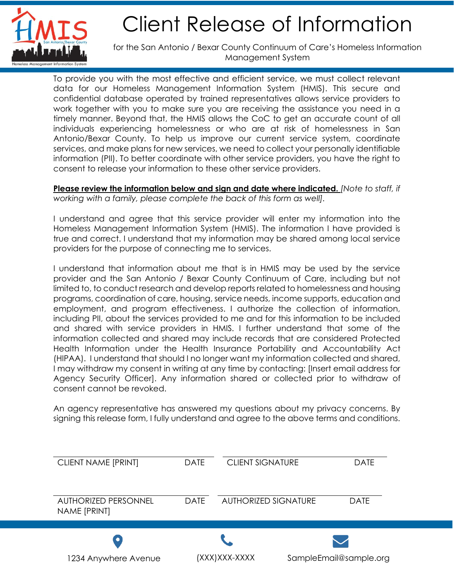

## Client Release of Information

for the San Antonio / Bexar County Continuum of Care's Homeless Information Management System

To provide you with the most effective and efficient service, we must collect relevant data for our Homeless Management Information System (HMIS). This secure and confidential database operated by trained representatives allows service providers to work together with you to make sure you are receiving the assistance you need in a timely manner. Beyond that, the HMIS allows the CoC to get an accurate count of all individuals experiencing homelessness or who are at risk of homelessness in San Antonio/Bexar County. To help us improve our current service system, coordinate services, and make plans for new services, we need to collect your personally identifiable information (PII). To better coordinate with other service providers, you have the right to consent to release your information to these other service providers.

**Please review the information below and sign and date where indicated.** *[Note to staff, if working with a family, please complete the back of this form as well].*

I understand and agree that this service provider will enter my information into the Homeless Management Information System (HMIS). The information I have provided is true and correct. I understand that my information may be shared among local service providers for the purpose of connecting me to services.

I understand that information about me that is in HMIS may be used by the service provider and the San Antonio / Bexar County Continuum of Care, including but not limited to, to conduct research and develop reports related to homelessness and housing programs, coordination of care, housing, service needs, income supports, education and employment, and program effectiveness. I authorize the collection of information, including PII, about the services provided to me and for this information to be included and shared with service providers in HMIS. I further understand that some of the information collected and shared may include records that are considered Protected Health Information under the Health Insurance Portability and Accountability Act (HIPAA). I understand that should I no longer want my information collected and shared, I may withdraw my consent in writing at any time by contacting: [Insert email address for Agency Security Officer]. Any information shared or collected prior to withdraw of consent cannot be revoked.

An agency representative has answered my questions about my privacy concerns. By signing this release form, I fully understand and agree to the above terms and conditions.